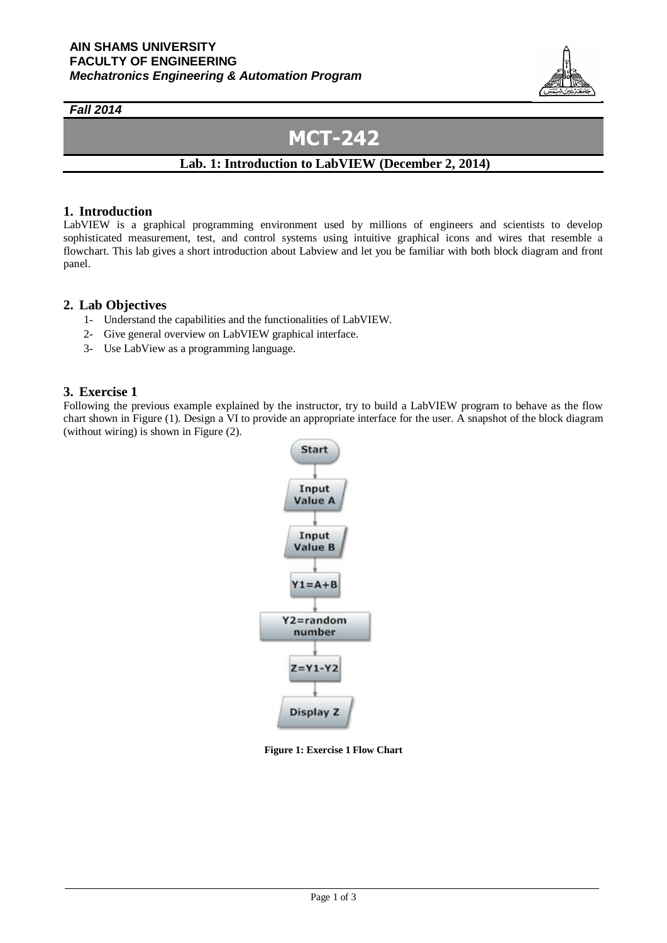

### *Fall 2014*

# **MCT-242**

## **Lab. 1: Introduction to LabVIEW (December 2, 2014)**

#### **1. Introduction**

LabVIEW is a graphical programming environment used by millions of engineers and scientists to develop sophisticated measurement, test, and control systems using intuitive graphical icons and wires that resemble a flowchart. This lab gives a short introduction about Labview and let you be familiar with both block diagram and front panel.

#### **2. Lab Objectives**

- 1- Understand the capabilities and the functionalities of LabVIEW.
- 2- Give general overview on LabVIEW graphical interface.
- 3- Use LabView as a programming language.

### **3. Exercise 1**

Following the previous example explained by the instructor, try to build a LabVIEW program to behave as the flow chart shown in Figure (1). Design a VI to provide an appropriate interface for the user. A snapshot of the block diagram (without wiring) is shown in Figure (2).



**Figure 1: Exercise 1 Flow Chart**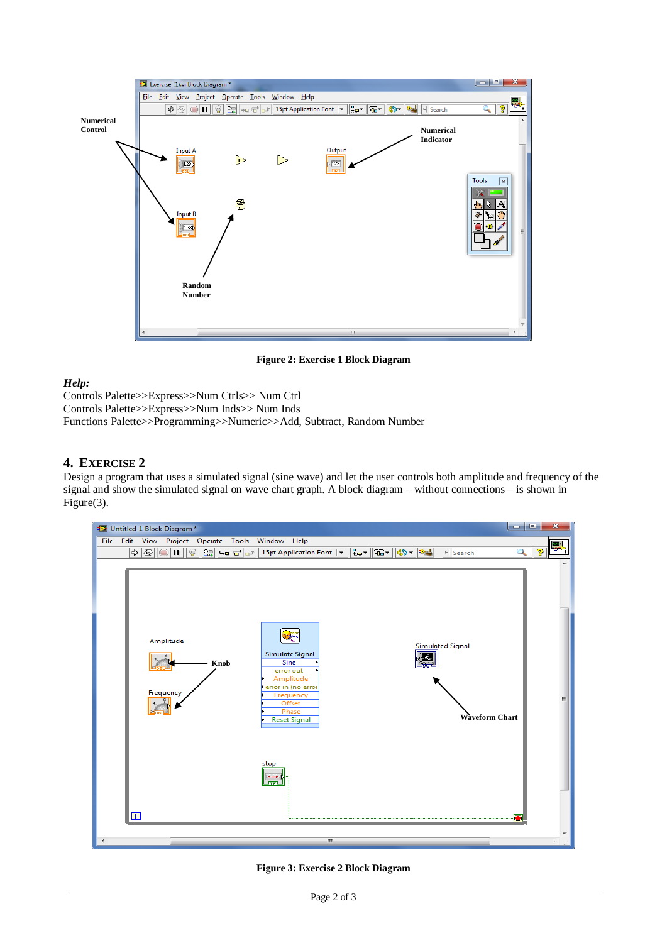

**Figure 2: Exercise 1 Block Diagram**

## *Help:*

Controls Palette>>Express>>Num Ctrls>> Num Ctrl Controls Palette>>Express>>Num Inds>> Num Inds Functions Palette>>Programming>>Numeric>>Add, Subtract, Random Number

## **4. EXERCISE 2**

Design a program that uses a simulated signal (sine wave) and let the user controls both amplitude and frequency of the signal and show the simulated signal on wave chart graph. A block diagram – without connections – is shown in Figure(3).



**Figure 3: Exercise 2 Block Diagram**